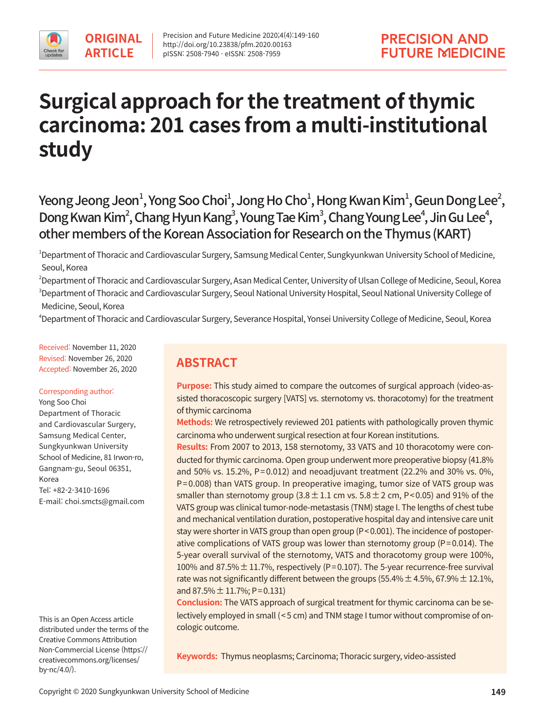# **Surgical approach for the treatment of thymic carcinoma: 201 cases from a multi-institutional study**

Yeong Jeong Jeon $^{\mathsf{l}}$ , Yong Soo Choi $^{\mathsf{l}}$ , Jong Ho Cho $^{\mathsf{l}}$ , Hong Kwan Kim $^{\mathsf{l}}$ , Geun Dong Lee $^{\mathsf{l}}$ , Dong Kwan Kim<sup>2</sup>, Chang Hyun Kang<sup>3</sup>, Young Tae Kim<sup>3</sup>, Chang Young Lee<sup>4</sup>, Jin Gu Lee<sup>4</sup>, other members of the Korean Association for Research on the Thymus (KART)

<sup>1</sup>Department of Thoracic and Cardiovascular Surgery, Samsung Medical Center, Sungkyunkwan University School of Medicine, Seoul, Korea

 $^2$ Department of Thoracic and Cardiovascular Surgery, Asan Medical Center, University of Ulsan College of Medicine, Seoul, Korea  $^3$ Department of Thoracic and Cardiovascular Surgery, Seoul National University Hospital, Seoul National University College of Medicine, Seoul, Korea

4 Department of Thoracic and Cardiovascular Surgery, Severance Hospital, Yonsei University College of Medicine, Seoul, Korea

Received: November 11, 2020 Revised: November 26, 2020 Accepted: November 26, 2020

### Corresponding author:

Yong Soo Choi Department of Thoracic and Cardiovascular Surgery, Samsung Medical Center, Sungkyunkwan University School of Medicine, 81 Irwon-ro, Gangnam-gu, Seoul 06351, Korea Tel: +82-2-3410-1696 E-mail: choi.smcts@gmail.com

This is an Open Access article distributed under the terms of the Creative Commons Attribution Non-Commercial License (https:// creativecommons.org/licenses/ by-nc/4.0/).

# **ABSTRACT**

**Purpose:** This study aimed to compare the outcomes of surgical approach (video-assisted thoracoscopic surgery [VATS] vs. sternotomy vs. thoracotomy) for the treatment of thymic carcinoma

**Methods:** We retrospectively reviewed 201 patients with pathologically proven thymic carcinoma who underwent surgical resection at four Korean institutions.

**Results:** From 2007 to 2013, 158 sternotomy, 33 VATS and 10 thoracotomy were conducted forthymic carcinoma. Open group underwent more preoperative biopsy (41.8% and 50% vs. 15.2%, P=0.012) and neoadjuvant treatment (22.2% and 30% vs. 0%, P=0.008) than VATS group. In preoperative imaging, tumor size of VATS group was smaller than sternotomy group  $(3.8 \pm 1.1 \text{ cm}$  vs.  $5.8 \pm 2 \text{ cm}$ , P<0.05) and 91% of the VATS group was clinical tumor-node-metastasis (TNM) stage I. The lengths of chest tube and mechanical ventilation duration, postoperative hospital day and intensive care unit stay were shorter in VATS group than open group (P<0.001). The incidence of postoperative complications of VATS group was lower than sternotomy group (P=0.014). The 5-year overall survival of the sternotomy, VATS and thoracotomy group were 100%, 100% and 87.5%  $\pm$  11.7%, respectively (P=0.107). The 5-year recurrence-free survival rate was not significantly different between the groups (55.4%  $\pm$  4.5%, 67.9%  $\pm$  12.1%, and 87.5%  $\pm$  11.7%; P=0.131)

**Conclusion:** The VATS approach of surgical treatment for thymic carcinoma can be selectively employed in small (<5 cm) and TNM stage I tumor without compromise of oncologic outcome.

**Keywords:** Thymus neoplasms; Carcinoma; Thoracic surgery, video-assisted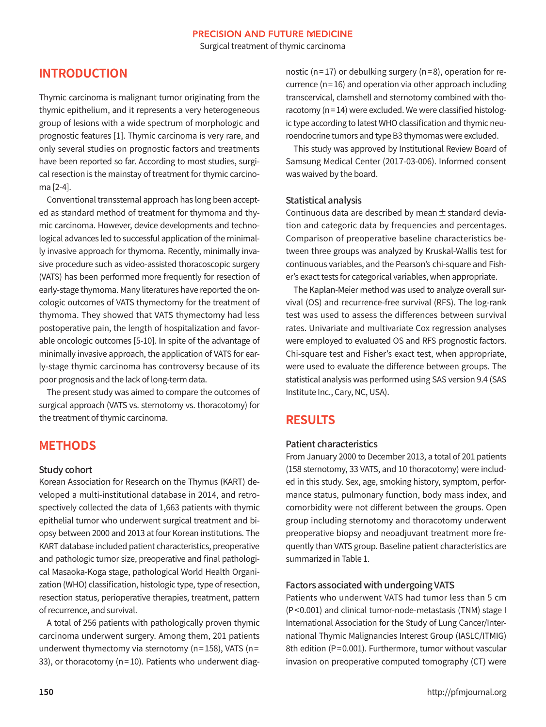Surgical treatment of thymic carcinoma

# **INTRODUCTION**

Thymic carcinoma is malignant tumor originating from the thymic epithelium, and it represents a very heterogeneous group of lesions with a wide spectrum of morphologic and prognostic features [1]. Thymic carcinoma is very rare, and only several studies on prognostic factors and treatments have been reported so far. According to most studies, surgical resection is the mainstay of treatment for thymic carcinoma [2-4].

Conventional transsternal approach has long been accepted as standard method of treatment for thymoma and thymic carcinoma. However, device developments and technological advances led to successful application of the minimally invasive approach for thymoma. Recently, minimally invasive procedure such as video-assisted thoracoscopic surgery (VATS) has been performed more frequently for resection of early-stage thymoma. Many literatures have reported the oncologic outcomes of VATS thymectomy for the treatment of thymoma. They showed that VATS thymectomy had less postoperative pain, the length of hospitalization and favorable oncologic outcomes [5-10]. In spite of the advantage of minimally invasive approach, the application of VATS for early-stage thymic carcinoma has controversy because of its poor prognosis and the lack of long-term data.

The present study was aimed to compare the outcomes of surgical approach (VATS vs. sternotomy vs. thoracotomy) for the treatment of thymic carcinoma.

# **METHODS**

### Study cohort

Korean Association for Research on the Thymus (KART) developed a multi-institutional database in 2014, and retrospectively collected the data of 1,663 patients with thymic epithelial tumor who underwent surgical treatment and biopsy between 2000 and 2013 at four Korean institutions. The KART database included patient characteristics, preoperative and pathologic tumor size, preoperative and final pathological Masaoka-Koga stage, pathological World Health Organization (WHO) classification, histologic type, type of resection, resection status, perioperative therapies, treatment, pattern ofrecurrence, and survival.

A total of 256 patients with pathologically proven thymic carcinoma underwent surgery. Among them, 201 patients underwent thymectomy via sternotomy ( $n=158$ ), VATS ( $n=$ 33), or thoracotomy (n=10). Patients who underwent diagnostic (n=17) or debulking surgery (n=8), operation for recurrence ( $n=16$ ) and operation via other approach including transcervical, clamshell and sternotomy combined with thoracotomy (n=14) were excluded. We were classified histologic type according to latest WHO classification and thymic neuroendocrine tumors and type B3 thymomas were excluded.

This study was approved by Institutional Review Board of Samsung Medical Center (2017-03-006). Informed consent was waived by the board.

### Statistical analysis

Continuous data are described by mean  $\pm$  standard deviation and categoric data by frequencies and percentages. Comparison of preoperative baseline characteristics between three groups was analyzed by Kruskal-Wallis test for continuous variables, and the Pearson's chi-square and Fisher's exact tests for categorical variables, when appropriate.

The Kaplan-Meier method was used to analyze overall survival (OS) and recurrence-free survival (RFS). The log-rank test was used to assess the differences between survival rates. Univariate and multivariate Cox regression analyses were employed to evaluated OS and RFS prognostic factors. Chi-square test and Fisher's exact test, when appropriate, were used to evaluate the difference between groups. The statistical analysis was performed using SAS version 9.4 (SAS Institute Inc., Cary, NC, USA).

# **RESULTS**

# Patient characteristics

From January 2000 to December 2013, a total of 201 patients (158 sternotomy, 33 VATS, and 10 thoracotomy) were included in this study. Sex, age, smoking history, symptom, performance status, pulmonary function, body mass index, and comorbidity were not different between the groups. Open group including sternotomy and thoracotomy underwent preoperative biopsy and neoadjuvant treatment more frequently than VATS group. Baseline patient characteristics are summarized in Table 1.

### Factors associated with undergoing VATS

Patients who underwent VATS had tumor less than 5 cm (P<0.001) and clinical tumor-node-metastasis (TNM) stage I International Association for the Study of Lung Cancer/International Thymic Malignancies Interest Group (IASLC/ITMIG) 8th edition (P=0.001). Furthermore, tumor without vascular invasion on preoperative computed tomography (CT) were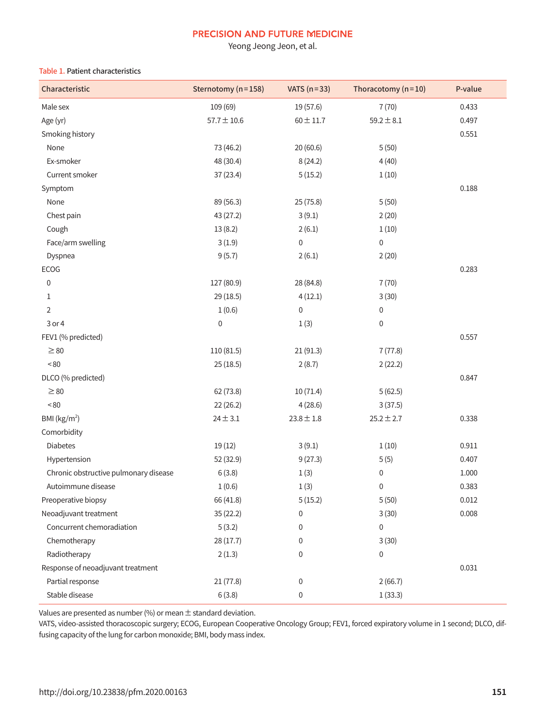Yeong Jeong Jeon, et al.

#### Table 1. Patient characteristics

| Characteristic                        | Sternotomy (n=158) | VATS $(n=33)$    | Thoracotomy $(n=10)$ | P-value |
|---------------------------------------|--------------------|------------------|----------------------|---------|
| Male sex                              | 109 (69)           | 19 (57.6)        | 7(70)                | 0.433   |
| Age (yr)                              | $57.7 \pm 10.6$    | $60 \pm 11.7$    | $59.2 \pm 8.1$       | 0.497   |
| Smoking history                       |                    |                  |                      | 0.551   |
| None                                  | 73 (46.2)          | 20 (60.6)        | 5(50)                |         |
| Ex-smoker                             | 48 (30.4)          | 8(24.2)          | 4(40)                |         |
| Current smoker                        | 37(23.4)           | 5(15.2)          | 1(10)                |         |
| Symptom                               |                    |                  |                      | 0.188   |
| None                                  | 89 (56.3)          | 25 (75.8)        | 5(50)                |         |
| Chest pain                            | 43 (27.2)          | 3(9.1)           | 2(20)                |         |
| Cough                                 | 13(8.2)            | 2(6.1)           | 1(10)                |         |
| Face/arm swelling                     | 3(1.9)             | $\boldsymbol{0}$ | $\mathsf{0}$         |         |
| Dyspnea                               | 9(5.7)             | 2(6.1)           | 2(20)                |         |
| ECOG                                  |                    |                  |                      | 0.283   |
| $\pmb{0}$                             | 127 (80.9)         | 28 (84.8)        | 7(70)                |         |
| 1                                     | 29(18.5)           | 4(12.1)          | 3(30)                |         |
| 2                                     | 1(0.6)             | $\boldsymbol{0}$ | $\pmb{0}$            |         |
| 3 or 4                                | $\boldsymbol{0}$   | 1(3)             | $\pmb{0}$            |         |
| FEV1 (% predicted)                    |                    |                  |                      | 0.557   |
| $\geq$ 80                             | 110 (81.5)         | 21(91.3)         | 7(77.8)              |         |
| $<\!80$                               | 25(18.5)           | 2(8.7)           | 2(22.2)              |         |
| DLCO (% predicted)                    |                    |                  |                      | 0.847   |
| $\geq 80$                             | 62 (73.8)          | 10(71.4)         | 5(62.5)              |         |
| ~50                                   | 22(26.2)           | 4(28.6)          | 3(37.5)              |         |
| BMI ( $\text{kg/m}^2$ )               | $24 \pm 3.1$       | $23.8 \pm 1.8$   | $25.2 \pm 2.7$       | 0.338   |
| Comorbidity                           |                    |                  |                      |         |
| Diabetes                              | 19(12)             | 3(9.1)           | 1(10)                | 0.911   |
| Hypertension                          | 52 (32.9)          | 9(27.3)          | 5(5)                 | 0.407   |
| Chronic obstructive pulmonary disease | 6(3.8)             | 1(3)             | $\boldsymbol{0}$     | 1.000   |
| Autoimmune disease                    | 1(0.6)             | 1(3)             | $\mathbf 0$          | 0.383   |
| Preoperative biopsy                   | 66 (41.8)          | 5(15.2)          | 5(50)                | 0.012   |
| Neoadjuvant treatment                 | 35(22.2)           | 0                | 3(30)                | 0.008   |
| Concurrent chemoradiation             | 5(3.2)             | 0                | $\mathbf 0$          |         |
| Chemotherapy                          | 28(17.7)           | 0                | 3(30)                |         |
| Radiotherapy                          | 2(1.3)             | 0                | $\mathbf 0$          |         |
| Response of neoadjuvant treatment     |                    |                  |                      | 0.031   |
| Partial response                      | 21(77.8)           | 0                | 2(66.7)              |         |
| Stable disease                        | 6(3.8)             | 0                | 1(33.3)              |         |

Values are presented as number (%) or mean  $\pm$  standard deviation.

VATS, video-assisted thoracoscopic surgery; ECOG, European Cooperative Oncology Group; FEV1, forced expiratory volume in 1 second; DLCO, diffusing capacity of the lung for carbon monoxide; BMI, body mass index.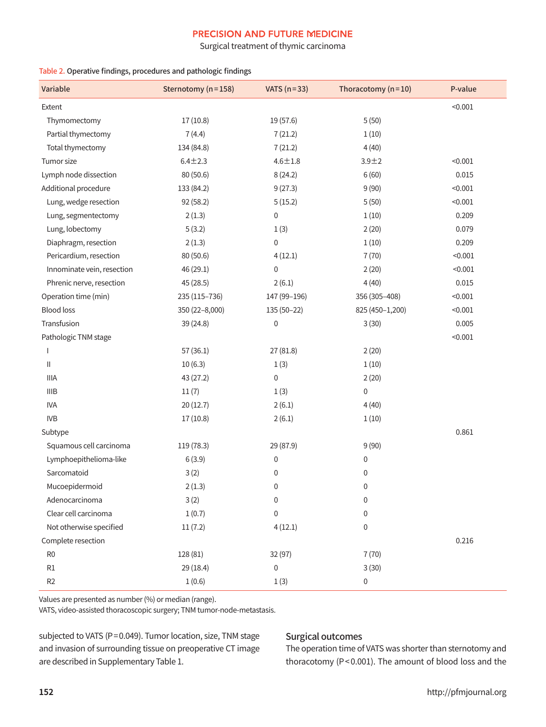Surgical treatment of thymic carcinoma

#### Table 2. Operative findings, procedures and pathologic findings

| Variable                   | Sternotomy (n=158) | VATS $(n=33)$ | Thoracotomy $(n=10)$ | P-value |
|----------------------------|--------------------|---------------|----------------------|---------|
| Extent                     |                    |               |                      | < 0.001 |
| Thymomectomy               | 17(10.8)           | 19 (57.6)     | 5(50)                |         |
| Partial thymectomy         | 7(4.4)             | 7(21.2)       | 1(10)                |         |
| Total thymectomy           | 134 (84.8)         | 7(21.2)       | 4(40)                |         |
| Tumor size                 | $6.4 + 2.3$        | $4.6 \pm 1.8$ | $3.9 + 2$            | < 0.001 |
| Lymph node dissection      | 80 (50.6)          | 8(24.2)       | 6(60)                | 0.015   |
| Additional procedure       | 133 (84.2)         | 9(27.3)       | 9(90)                | < 0.001 |
| Lung, wedge resection      | 92 (58.2)          | 5(15.2)       | 5(50)                | < 0.001 |
| Lung, segmentectomy        | 2(1.3)             | $\mathbf 0$   | 1(10)                | 0.209   |
| Lung, lobectomy            | 5(3.2)             | 1(3)          | 2(20)                | 0.079   |
| Diaphragm, resection       | 2(1.3)             | $\pmb{0}$     | 1(10)                | 0.209   |
| Pericardium, resection     | 80 (50.6)          | 4(12.1)       | 7(70)                | < 0.001 |
| Innominate vein, resection | 46 (29.1)          | $\pmb{0}$     | 2(20)                | < 0.001 |
| Phrenic nerve, resection   | 45 (28.5)          | 2(6.1)        | 4(40)                | 0.015   |
| Operation time (min)       | 235 (115-736)      | 147 (99-196)  | 356 (305-408)        | < 0.001 |
| <b>Blood loss</b>          | 350 (22-8,000)     | $135(50-22)$  | 825 (450-1,200)      | < 0.001 |
| Transfusion                | 39 (24.8)          | 0             | 3(30)                | 0.005   |
| Pathologic TNM stage       |                    |               |                      | < 0.001 |
| $\overline{1}$             | 57(36.1)           | 27 (81.8)     | 2(20)                |         |
| Ш                          | 10(6.3)            | 1(3)          | 1(10)                |         |
| <b>IIIA</b>                | 43 (27.2)          | $\pmb{0}$     | 2(20)                |         |
| <b>IIIB</b>                | 11(7)              | 1(3)          | 0                    |         |
| <b>IVA</b>                 | 20(12.7)           | 2(6.1)        | 4(40)                |         |
| <b>IVB</b>                 | 17(10.8)           | 2(6.1)        | 1(10)                |         |
| Subtype                    |                    |               |                      | 0.861   |
| Squamous cell carcinoma    | 119 (78.3)         | 29 (87.9)     | 9(90)                |         |
| Lymphoepithelioma-like     | 6(3.9)             | 0             | 0                    |         |
| Sarcomatoid                | 3(2)               | $\pmb{0}$     | 0                    |         |
| Mucoepidermoid             | 2(1.3)             | 0             | 0                    |         |
| Adenocarcinoma             | 3(2)               | $\mathbf 0$   | 0                    |         |
| Clear cell carcinoma       | 1(0.7)             | $\pmb{0}$     | 0                    |         |
| Not otherwise specified    | 11(7.2)            | 4(12.1)       | 0                    |         |
| Complete resection         |                    |               |                      | 0.216   |
| R <sub>0</sub>             | 128 (81)           | 32 (97)       | 7(70)                |         |
| $\mathsf{R}1$              | 29 (18.4)          | $\pmb{0}$     | 3(30)                |         |
| R <sub>2</sub>             | 1(0.6)             | 1(3)          | 0                    |         |

Values are presented as number(%) or median (range).

VATS, video-assisted thoracoscopic surgery; TNM tumor-node-metastasis.

subjected to VATS (P=0.049). Tumor location, size, TNM stage and invasion of surrounding tissue on preoperative CT image are described in Supplementary Table 1.

# Surgical outcomes

The operation time of VATS was shorter than sternotomy and thoracotomy (P<0.001). The amount of blood loss and the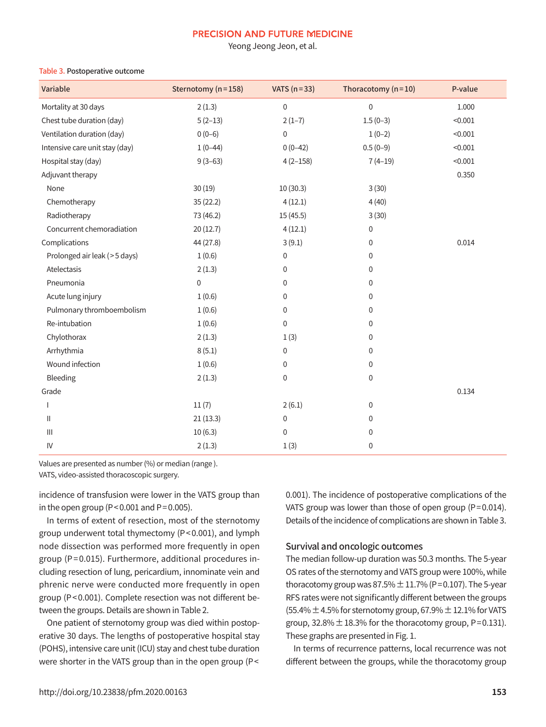Yeong Jeong Jeon, et al.

#### Table 3. Postoperative outcome

| Variable                           | Sternotomy (n=158) | VATS $(n=33)$    | Thoracotomy $(n=10)$ | P-value |
|------------------------------------|--------------------|------------------|----------------------|---------|
| Mortality at 30 days               | 2(1.3)             | $\mathbf 0$      | $\mathbf 0$          | 1.000   |
| Chest tube duration (day)          | $5(2-13)$          | $2(1-7)$         | $1.5(0-3)$           | < 0.001 |
| Ventilation duration (day)         | $0(0-6)$           | $\mathbf 0$      | $1(0-2)$             | < 0.001 |
| Intensive care unit stay (day)     | $1(0-44)$          | $0(0-42)$        | $0.5(0-9)$           | < 0.001 |
| Hospital stay (day)                | $9(3-63)$          | $4(2-158)$       | $7(4-19)$            | < 0.001 |
| Adjuvant therapy                   |                    |                  |                      | 0.350   |
| None                               | 30(19)             | 10(30.3)         | 3(30)                |         |
| Chemotherapy                       | 35(22.2)           | 4(12.1)          | 4(40)                |         |
| Radiotherapy                       | 73 (46.2)          | 15 (45.5)        | 3(30)                |         |
| Concurrent chemoradiation          | 20(12.7)           | 4(12.1)          | 0                    |         |
| Complications                      | 44 (27.8)          | 3(9.1)           | 0                    | 0.014   |
| Prolonged air leak (>5 days)       | 1(0.6)             | $\boldsymbol{0}$ | 0                    |         |
| Atelectasis                        | 2(1.3)             | $\boldsymbol{0}$ | 0                    |         |
| Pneumonia                          | $\mathbf 0$        | 0                | 0                    |         |
| Acute lung injury                  | 1(0.6)             | 0                | 0                    |         |
| Pulmonary thromboembolism          | 1(0.6)             | $\boldsymbol{0}$ | 0                    |         |
| Re-intubation                      | 1(0.6)             | $\mathbf 0$      | 0                    |         |
| Chylothorax                        | 2(1.3)             | 1(3)             | 0                    |         |
| Arrhythmia                         | 8(5.1)             | 0                | 0                    |         |
| Wound infection                    | 1(0.6)             | 0                | 0                    |         |
| Bleeding                           | 2(1.3)             | 0                | 0                    |         |
| Grade                              |                    |                  |                      | 0.134   |
|                                    | 11(7)              | 2(6.1)           | 0                    |         |
| $\mathbf{H}$                       | 21(13.3)           | 0                | 0                    |         |
| $\ensuremath{\mathsf{III}}\xspace$ | 10(6.3)            | $\boldsymbol{0}$ | 0                    |         |
| IV                                 | 2(1.3)             | 1(3)             | 0                    |         |

Values are presented as number(%) or median (range ).

VATS, video-assisted thoracoscopic surgery.

incidence of transfusion were lower in the VATS group than in the open group ( $P < 0.001$  and  $P = 0.005$ ).

In terms of extent of resection, most of the sternotomy group underwent total thymectomy (P<0.001), and lymph node dissection was performed more frequently in open group (P=0.015). Furthermore, additional procedures including resection of lung, pericardium, innominate vein and phrenic nerve were conducted more frequently in open group (P<0.001). Complete resection was not different between the groups. Details are shown in Table 2.

One patient of sternotomy group was died within postoperative 30 days. The lengths of postoperative hospital stay (POHS), intensive care unit (ICU) stay and chest tube duration were shorter in the VATS group than in the open group (P<

0.001). The incidence of postoperative complications of the VATS group was lower than those of open group (P=0.014). Details of the incidence of complications are shown in Table 3.

### Survival and oncologic outcomes

The median follow-up duration was 50.3 months. The 5-year OS rates of the sternotomy and VATS group were 100%, while thoracotomy group was  $87.5\% \pm 11.7\%$  (P=0.107). The 5-year RFS rates were not significantly different between the groups (55.4%  $\pm$  4.5% for sternotomy group, 67.9%  $\pm$  12.1% for VATS group,  $32.8\% \pm 18.3\%$  for the thoracotomy group, P=0.131). These graphs are presented in Fig. 1.

In terms of recurrence patterns, local recurrence was not different between the groups, while the thoracotomy group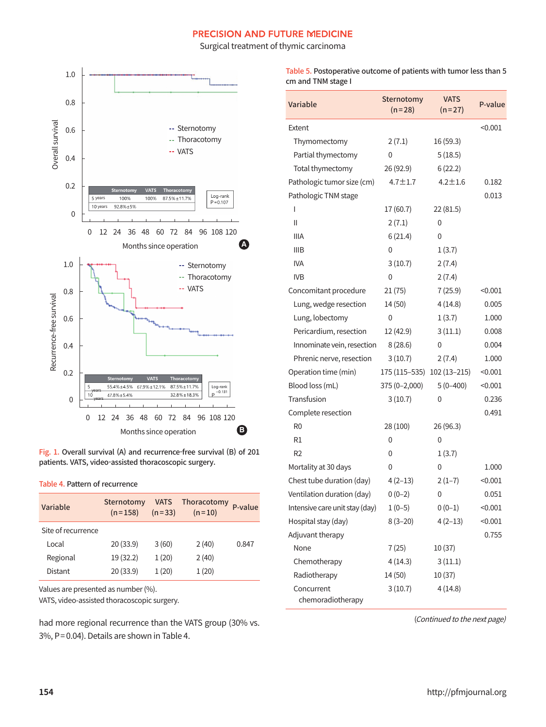Surgical treatment of thymic carcinoma





#### Table 4. Pattern of recurrence

| Variable           | Sternotomy<br>$(n=158)$ | $(n=33)$ | VATS Thoracotomy<br>$(n=10)$ | P-value |
|--------------------|-------------------------|----------|------------------------------|---------|
| Site of recurrence |                         |          |                              |         |
| Local              | 20(33.9)                | 3(60)    | 2(40)                        | 0.847   |
| Regional           | 19(32.2)                | 1(20)    | 2(40)                        |         |
| Distant            | 20(33.9)                | 1(20)    | 1(20)                        |         |

Values are presented as number(%).

VATS, video-assisted thoracoscopic surgery.

had more regional recurrence than the VATS group (30% vs. 3%, P=0.04). Details are shown in Table 4.

Table 5. Postoperative outcome of patients with tumor less than 5 cm and TNM stage I

| Variable                        | Sternotomy<br>$(n=28)$     | <b>VATS</b><br>$(n=27)$ | P-value |
|---------------------------------|----------------------------|-------------------------|---------|
| Extent                          |                            |                         | < 0.001 |
| Thymomectomy                    | 2(7.1)                     | 16 (59.3)               |         |
| Partial thymectomy              | 0                          | 5(18.5)                 |         |
| Total thymectomy                | 26 (92.9)                  | 6(22.2)                 |         |
| Pathologic tumor size (cm)      | $4.7 \pm 1.7$              | $4.2 \pm 1.6$           | 0.182   |
| Pathologic TNM stage            |                            |                         | 0.013   |
| I                               | 17 (60.7)                  | 22(81.5)                |         |
| Ш                               | 2(7.1)                     | 0                       |         |
| <b>IIIA</b>                     | 6(21.4)                    | 0                       |         |
| <b>IIIB</b>                     | 0                          | 1(3.7)                  |         |
| <b>IVA</b>                      | 3(10.7)                    | 2(7.4)                  |         |
| <b>IVB</b>                      | 0                          | 2(7.4)                  |         |
| Concomitant procedure           | 21(75)                     | 7(25.9)                 | < 0.001 |
| Lung, wedge resection           | 14 (50)                    | 4(14.8)                 | 0.005   |
| Lung, lobectomy                 | 0                          | 1(3.7)                  | 1.000   |
| Pericardium, resection          | 12 (42.9)                  | 3(11.1)                 | 0.008   |
| Innominate vein, resection      | 8(28.6)                    | 0                       | 0.004   |
| Phrenic nerve, resection        | 3(10.7)                    | 2(7.4)                  | 1.000   |
| Operation time (min)            | 175 (115-535) 102 (13-215) |                         | < 0.001 |
| Blood loss (mL)                 | 375 (0-2,000)              | $5(0-400)$              | < 0.001 |
| Transfusion                     | 3(10.7)                    | 0                       | 0.236   |
| Complete resection              |                            |                         | 0.491   |
| R <sub>0</sub>                  | 28 (100)                   | 26 (96.3)               |         |
| R1                              | 0                          | 0                       |         |
| R <sub>2</sub>                  | 0                          | 1(3.7)                  |         |
| Mortality at 30 days            | 0                          | 0                       | 1.000   |
| Chest tube duration (day)       | $4(2-13)$                  | $2(1-7)$                | < 0.001 |
| Ventilation duration (day)      | $0(0-2)$                   | 0                       | 0.051   |
| Intensive care unit stay (day)  | $1(0-5)$                   | $0(0-1)$                | < 0.001 |
| Hospital stay (day)             | $8(3-20)$                  | $4(2-13)$               | < 0.001 |
| Adjuvant therapy                |                            |                         | 0.755   |
| None                            | 7(25)                      | 10 (37)                 |         |
| Chemotherapy                    | 4 (14.3)                   | 3(11.1)                 |         |
| Radiotherapy                    | 14 (50)                    | 10 (37)                 |         |
| Concurrent<br>chemoradiotherapy | 3(10.7)                    | 4(14.8)                 |         |

(Continued to the next page)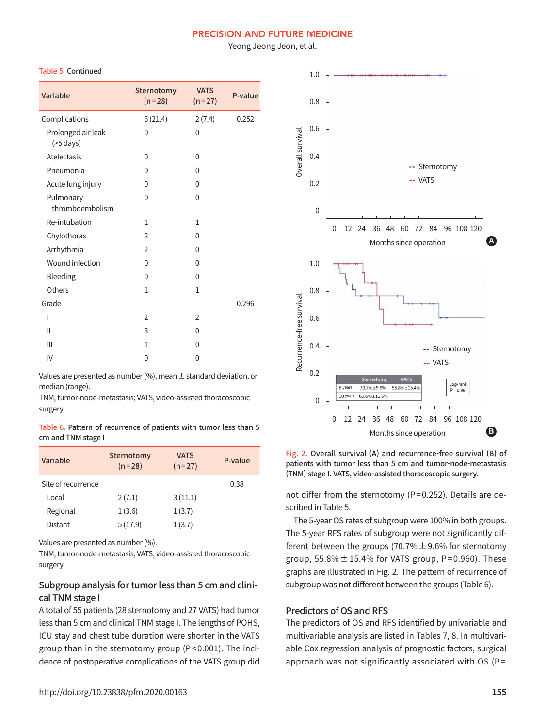Yeong Jeong Jeon, et al.

#### Table 5. Continued

| Variable                              | Sternotomy<br>$(n=28)$ | <b>VATS</b><br>$(n=27)$ | P-value |
|---------------------------------------|------------------------|-------------------------|---------|
| Complications                         | 6(21.4)                | 2(7.4)                  | 0.252   |
| Prolonged air leak<br>$($ >5 days $)$ | 0                      | 0                       |         |
| Atelectasis                           | 0                      | 0                       |         |
| Pneumonia                             | 0                      | 0                       |         |
| Acute lung injury                     | 0                      | $\Omega$                |         |
| Pulmonary<br>thromboembolism          | 0                      | 0                       |         |
| Re-intubation                         | $\mathbf{1}$           | $\mathbf{1}$            |         |
| Chylothorax                           | 2                      | 0                       |         |
| Arrhythmia                            | $\overline{2}$         | 0                       |         |
| Wound infection                       | $\mathbf{0}$           | $\Omega$                |         |
| Bleeding                              | 0                      | 0                       |         |
| Others                                | $\mathbf{1}$           | 1                       |         |
| Grade                                 |                        |                         | 0.296   |
| I                                     | $\overline{2}$         | $\overline{2}$          |         |
| Ш                                     | 3                      | 0                       |         |
| Ш                                     | $\mathbf{1}$           | 0                       |         |
| IV                                    | 0                      | 0                       |         |

Values are presented as number (%), mean  $\pm$  standard deviation, or median (range).

TNM,tumor-node-metastasis; VATS, video-assisted thoracoscopic surgery.

Table 6. Pattern of recurrence of patients with tumor less than 5 cm and TNM stage I

| Variable           | Sternotomy<br>$(n=28)$ | <b>VATS</b><br>$(n=27)$ | P-value |
|--------------------|------------------------|-------------------------|---------|
| Site of recurrence |                        |                         | 0.38    |
| Local              | 2(7.1)                 | 3(11.1)                 |         |
| Regional           | 1(3.6)                 | 1(3.7)                  |         |
| Distant            | 5(17.9)                | 1(3.7)                  |         |

Values are presented as number(%).

TNM,tumor-node-metastasis; VATS, video-assisted thoracoscopic surgery.

# Subgroup analysis for tumor less than 5 cm and clinical TNM stage I

A total of 55 patients (28 sternotomy and 27 VATS) had tumor less than 5 cm and clinical TNM stage I. The lengths of POHS, ICU stay and chest tube duration were shorter in the VATS group than in the sternotomy group (P<0.001). The incidence of postoperative complications of the VATS group did



Fig. 2. Overall survival (A) and recurrence-free survival (B) of patients with tumor less than 5 cm and tumor-node-metastasis (TNM) stage I. VATS, video-assisted thoracoscopic surgery.

not differ from the sternotomy (P=0.252). Details are described in Table 5.

The 5-year OS rates of subgroup were 100% in both groups. The 5-year RFS rates of subgroup were not significantly different between the groups (70.7%  $\pm$  9.6% for sternotomy group,  $55.8\% \pm 15.4\%$  for VATS group, P=0.960). These graphs are illustrated in Fig. 2. The pattern of recurrence of subgroup was not different between the groups (Table 6).

#### Predictors of OS and RFS

The predictors of OS and RFS identified by univariable and multivariable analysis are listed in Tables 7, 8. In multivariable Cox regression analysis of prognostic factors, surgical approach was not significantly associated with OS (P=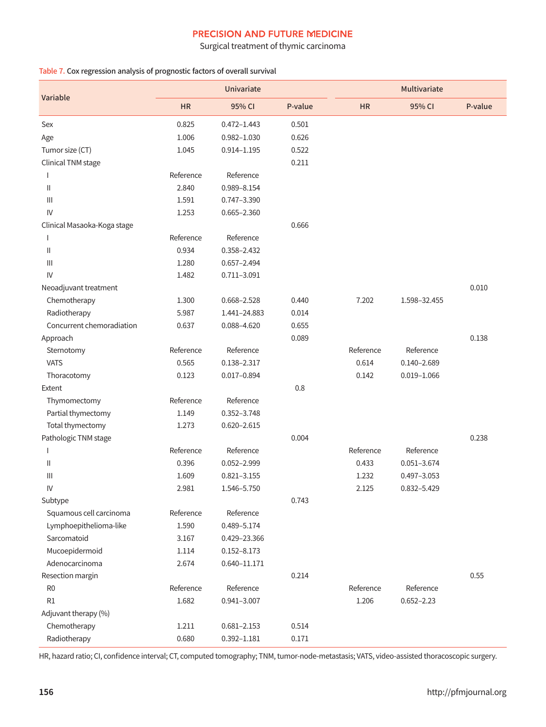Surgical treatment of thymic carcinoma

#### Table 7. Cox regression analysis of prognostic factors of overall survival

|                                                                           |           | Univariate       |         | Multivariate |                 |         |
|---------------------------------------------------------------------------|-----------|------------------|---------|--------------|-----------------|---------|
| Variable                                                                  | <b>HR</b> | 95% CI           | P-value | <b>HR</b>    | 95% CI          | P-value |
| Sex                                                                       | 0.825     | $0.472 - 1.443$  | 0.501   |              |                 |         |
| Age                                                                       | 1.006     | $0.982 - 1.030$  | 0.626   |              |                 |         |
| Tumor size (CT)                                                           | 1.045     | $0.914 - 1.195$  | 0.522   |              |                 |         |
| Clinical TNM stage                                                        |           |                  | 0.211   |              |                 |         |
|                                                                           | Reference | Reference        |         |              |                 |         |
| Ш                                                                         | 2.840     | 0.989-8.154      |         |              |                 |         |
| $\ensuremath{\mathsf{III}}\xspace$                                        | 1.591     | 0.747-3.390      |         |              |                 |         |
| IV                                                                        | 1.253     | $0.665 - 2.360$  |         |              |                 |         |
| Clinical Masaoka-Koga stage                                               |           |                  | 0.666   |              |                 |         |
| $\mathbf{I}$                                                              | Reference | Reference        |         |              |                 |         |
| Ш                                                                         | 0.934     | 0.358-2.432      |         |              |                 |         |
| $\ensuremath{\mathsf{III}}\xspace$                                        | 1.280     | $0.657 - 2.494$  |         |              |                 |         |
| IV                                                                        | 1.482     | $0.711 - 3.091$  |         |              |                 |         |
| Neoadjuvant treatment                                                     |           |                  |         |              |                 | 0.010   |
| Chemotherapy                                                              | 1.300     | 0.668-2.528      | 0.440   | 7.202        | 1.598-32.455    |         |
| Radiotherapy                                                              | 5.987     | 1.441-24.883     | 0.014   |              |                 |         |
| Concurrent chemoradiation                                                 | 0.637     | 0.088-4.620      | 0.655   |              |                 |         |
| Approach                                                                  |           |                  | 0.089   |              |                 | 0.138   |
| Sternotomy                                                                | Reference | Reference        |         | Reference    | Reference       |         |
| <b>VATS</b>                                                               | 0.565     | 0.138-2.317      |         | 0.614        | $0.140 - 2.689$ |         |
| Thoracotomy                                                               | 0.123     | $0.017 - 0.894$  |         | 0.142        | $0.019 - 1.066$ |         |
| Extent                                                                    |           |                  | 0.8     |              |                 |         |
| Thymomectomy                                                              | Reference | Reference        |         |              |                 |         |
| Partial thymectomy                                                        | 1.149     | 0.352-3.748      |         |              |                 |         |
| Total thymectomy                                                          | 1.273     | $0.620 - 2.615$  |         |              |                 |         |
| Pathologic TNM stage                                                      |           |                  | 0.004   |              |                 | 0.238   |
| 1                                                                         | Reference | Reference        |         | Reference    | Reference       |         |
| $\label{eq:1} \prod_{i=1}^n \left\{ \prod_{i=1}^n \frac{1}{n_i} \right\}$ | 0.396     | 0.052-2.999      |         | 0.433        | $0.051 - 3.674$ |         |
| Ш                                                                         | 1.609     | $0.821 - 3.155$  |         | 1.232        | $0.497 - 3.053$ |         |
| IV                                                                        | 2.981     | 1.546-5.750      |         | 2.125        | $0.832 - 5.429$ |         |
| Subtype                                                                   |           |                  | 0.743   |              |                 |         |
| Squamous cell carcinoma                                                   | Reference | Reference        |         |              |                 |         |
| Lymphoepithelioma-like                                                    | 1.590     | 0.489-5.174      |         |              |                 |         |
| Sarcomatoid                                                               | 3.167     | 0.429-23.366     |         |              |                 |         |
| Mucoepidermoid                                                            | 1.114     | $0.152 - 8.173$  |         |              |                 |         |
| Adenocarcinoma                                                            | 2.674     | $0.640 - 11.171$ |         |              |                 |         |
| Resection margin                                                          |           |                  | 0.214   |              |                 | 0.55    |
| R <sub>0</sub>                                                            | Reference | Reference        |         | Reference    | Reference       |         |
| R1                                                                        | 1.682     | $0.941 - 3.007$  |         | 1.206        | $0.652 - 2.23$  |         |
| Adjuvant therapy (%)                                                      |           |                  |         |              |                 |         |
| Chemotherapy                                                              | 1.211     | $0.681 - 2.153$  | 0.514   |              |                 |         |
| Radiotherapy                                                              | 0.680     | $0.392 - 1.181$  | 0.171   |              |                 |         |

HR, hazard ratio; CI, confidence interval; CT, computed tomography; TNM, tumor-node-metastasis; VATS, video-assisted thoracoscopic surgery.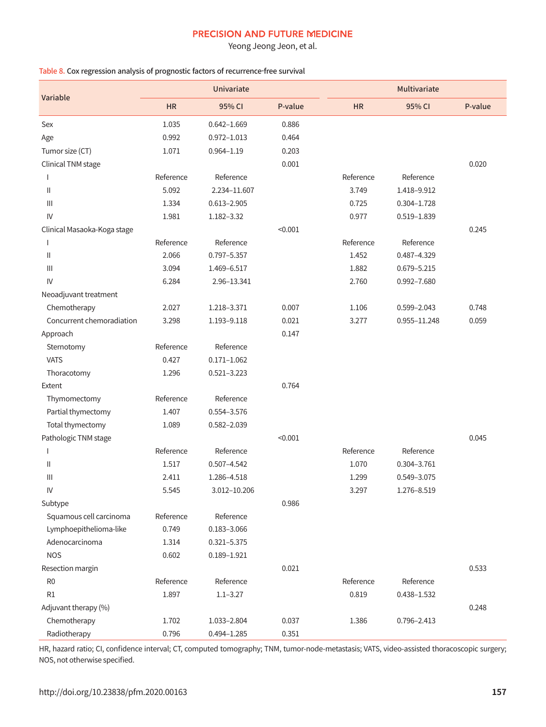Yeong Jeong Jeon, et al.

#### Table 8. Cox regression analysis of prognostic factors of recurrence-free survival

|                                    |           | <b>Univariate</b> |         | Multivariate |                 |         |
|------------------------------------|-----------|-------------------|---------|--------------|-----------------|---------|
| Variable                           | <b>HR</b> | 95% CI            | P-value | <b>HR</b>    | 95% CI          | P-value |
| Sex                                | 1.035     | $0.642 - 1.669$   | 0.886   |              |                 |         |
| Age                                | 0.992     | $0.972 - 1.013$   | 0.464   |              |                 |         |
| Tumor size (CT)                    | 1.071     | $0.964 - 1.19$    | 0.203   |              |                 |         |
| Clinical TNM stage                 |           |                   | 0.001   |              |                 | 0.020   |
| $\mathbf{I}$                       | Reference | Reference         |         | Reference    | Reference       |         |
| Ш                                  | 5.092     | 2.234-11.607      |         | 3.749        | 1.418-9.912     |         |
| $\mathbf{III}$                     | 1.334     | $0.613 - 2.905$   |         | 0.725        | $0.304 - 1.728$ |         |
| IV                                 | 1.981     | 1.182-3.32        |         | 0.977        | 0.519-1.839     |         |
| Clinical Masaoka-Koga stage        |           |                   | < 0.001 |              |                 | 0.245   |
| $\mathbf{I}$                       | Reference | Reference         |         | Reference    | Reference       |         |
| Ш                                  | 2.066     | 0.797-5.357       |         | 1.452        | 0.487-4.329     |         |
| $\ensuremath{\mathsf{III}}\xspace$ | 3.094     | 1.469-6.517       |         | 1.882        | $0.679 - 5.215$ |         |
| IV                                 | 6.284     | 2.96-13.341       |         | 2.760        | 0.992-7.680     |         |
| Neoadjuvant treatment              |           |                   |         |              |                 |         |
| Chemotherapy                       | 2.027     | 1.218-3.371       | 0.007   | 1.106        | 0.599-2.043     | 0.748   |
| Concurrent chemoradiation          | 3.298     | 1.193-9.118       | 0.021   | 3.277        | 0.955-11.248    | 0.059   |
| Approach                           |           |                   | 0.147   |              |                 |         |
| Sternotomy                         | Reference | Reference         |         |              |                 |         |
| <b>VATS</b>                        | 0.427     | $0.171 - 1.062$   |         |              |                 |         |
| Thoracotomy                        | 1.296     | $0.521 - 3.223$   |         |              |                 |         |
| Extent                             |           |                   | 0.764   |              |                 |         |
| Thymomectomy                       | Reference | Reference         |         |              |                 |         |
| Partial thymectomy                 | 1.407     | 0.554-3.576       |         |              |                 |         |
| Total thymectomy                   | 1.089     | 0.582-2.039       |         |              |                 |         |
| Pathologic TNM stage               |           |                   | < 0.001 |              |                 | 0.045   |
| $\mathbf{I}$                       | Reference | Reference         |         | Reference    | Reference       |         |
| Ш                                  | 1.517     | $0.507 - 4.542$   |         | 1.070        | 0.304-3.761     |         |
| $\mathbf{III}$                     | 2.411     | 1.286-4.518       |         | 1.299        | 0.549-3.075     |         |
| IV                                 | 5.545     | 3.012-10.206      |         | 3.297        | 1.276-8.519     |         |
| Subtype                            |           |                   | 0.986   |              |                 |         |
| Squamous cell carcinoma            | Reference | Reference         |         |              |                 |         |
| Lymphoepithelioma-like             | 0.749     | $0.183 - 3.066$   |         |              |                 |         |
| Adenocarcinoma                     | 1.314     | $0.321 - 5.375$   |         |              |                 |         |
| <b>NOS</b>                         | 0.602     | $0.189 - 1.921$   |         |              |                 |         |
| Resection margin                   |           |                   | 0.021   |              |                 | 0.533   |
| R <sub>0</sub>                     | Reference | Reference         |         | Reference    | Reference       |         |
| R1                                 | 1.897     | $1.1 - 3.27$      |         | 0.819        | 0.438-1.532     |         |
| Adjuvant therapy (%)               |           |                   |         |              |                 | 0.248   |
| Chemotherapy                       | 1.702     | 1.033-2.804       | 0.037   | 1.386        | 0.796-2.413     |         |
| Radiotherapy                       | 0.796     | $0.494 - 1.285$   | 0.351   |              |                 |         |

HR, hazard ratio; CI, confidence interval; CT, computed tomography; TNM, tumor-node-metastasis; VATS, video-assisted thoracoscopic surgery; NOS, not otherwise specified.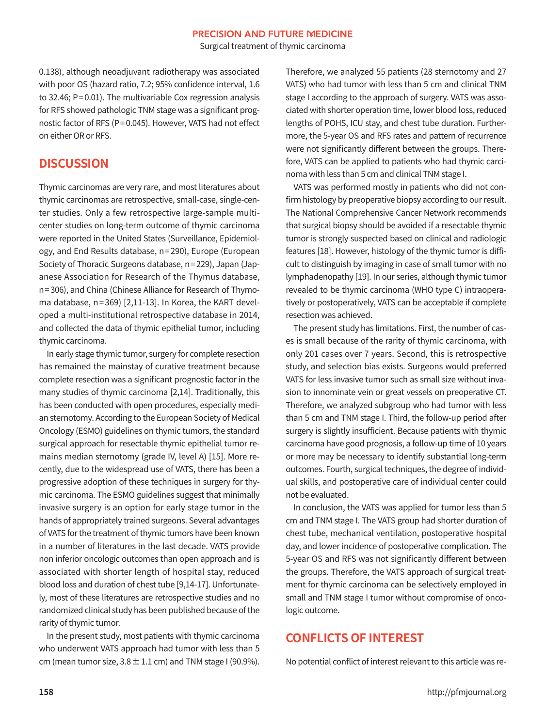Surgical treatment of thymic carcinoma

0.138), although neoadjuvant radiotherapy was associated with poor OS (hazard ratio, 7.2; 95% confidence interval, 1.6 to 32.46; P=0.01). The multivariable Cox regression analysis for RFS showed pathologic TNM stage was a significant prognostic factor of RFS (P=0.045). However, VATS had not effect on either OR or RFS.

# **DISCUSSION**

Thymic carcinomas are very rare, and most literatures about thymic carcinomas are retrospective, small-case, single-center studies. Only a few retrospective large-sample multicenter studies on long-term outcome of thymic carcinoma were reported in the United States (Surveillance, Epidemiology, and End Results database, n=290), Europe (European Society of Thoracic Surgeons database, n=229), Japan (Japanese Association for Research of the Thymus database, n=306), and China (Chinese Alliance for Research of Thymoma database, n=369) [2,11-13]. In Korea, the KART developed a multi-institutional retrospective database in 2014, and collected the data of thymic epithelial tumor, including thymic carcinoma.

In early stage thymic tumor, surgery for complete resection has remained the mainstay of curative treatment because complete resection was a significant prognostic factor in the many studies of thymic carcinoma [2,14]. Traditionally, this has been conducted with open procedures, especially median sternotomy. According to the European Society of Medical Oncology (ESMO) guidelines on thymic tumors, the standard surgical approach for resectable thymic epithelial tumor remains median sternotomy (grade IV, level A) [15]. More recently, due to the widespread use of VATS, there has been a progressive adoption of these techniques in surgery for thymic carcinoma. The ESMO guidelines suggest that minimally invasive surgery is an option for early stage tumor in the hands of appropriately trained surgeons. Several advantages of VATS for the treatment of thymic tumors have been known in a number of literatures in the last decade. VATS provide non inferior oncologic outcomes than open approach and is associated with shorter length of hospital stay, reduced blood loss and duration of chest tube [9,14-17]. Unfortunately, most of these literatures are retrospective studies and no randomized clinical study has been published because of the rarity of thymic tumor.

In the present study, most patients with thymic carcinoma who underwent VATS approach had tumor with less than 5 cm (mean tumor size,  $3.8 \pm 1.1$  cm) and TNM stage I (90.9%).

Therefore, we analyzed 55 patients (28 sternotomy and 27 VATS) who had tumor with less than 5 cm and clinical TNM stage I according to the approach of surgery. VATS was associated with shorter operation time, lower blood loss, reduced lengths of POHS, ICU stay, and chest tube duration. Furthermore, the 5-year OS and RFS rates and pattern of recurrence were not significantly different between the groups. Therefore, VATS can be applied to patients who had thymic carcinoma with less than 5 cm and clinical TNM stage I.

VATS was performed mostly in patients who did not confirm histology by preoperative biopsy according to our result. The National Comprehensive Cancer Network recommends that surgical biopsy should be avoided if a resectable thymic tumor is strongly suspected based on clinical and radiologic features [18]. However, histology of the thymic tumor is difficult to distinguish by imaging in case of small tumor with no lymphadenopathy [19]. In our series, although thymic tumor revealed to be thymic carcinoma (WHO type C) intraoperatively or postoperatively, VATS can be acceptable if complete resection was achieved.

The present study has limitations. First, the number of cases is small because of the rarity of thymic carcinoma, with only 201 cases over 7 years. Second, this is retrospective study, and selection bias exists. Surgeons would preferred VATS for less invasive tumor such as small size without invasion to innominate vein or great vessels on preoperative CT. Therefore, we analyzed subgroup who had tumor with less than 5 cm and TNM stage I. Third, the follow-up period after surgery is slightly insufficient. Because patients with thymic carcinoma have good prognosis, a follow-up time of 10 years or more may be necessary to identify substantial long-term outcomes. Fourth, surgical techniques, the degree of individual skills, and postoperative care of individual center could not be evaluated.

In conclusion, the VATS was applied for tumor less than 5 cm and TNM stage I. The VATS group had shorter duration of chest tube, mechanical ventilation, postoperative hospital day, and lower incidence of postoperative complication. The 5-year OS and RFS was not significantly different between the groups. Therefore, the VATS approach of surgical treatment for thymic carcinoma can be selectively employed in small and TNM stage I tumor without compromise of oncologic outcome.

# **CONFLICTS OF INTEREST**

No potential conflict of interest relevant to this article was re-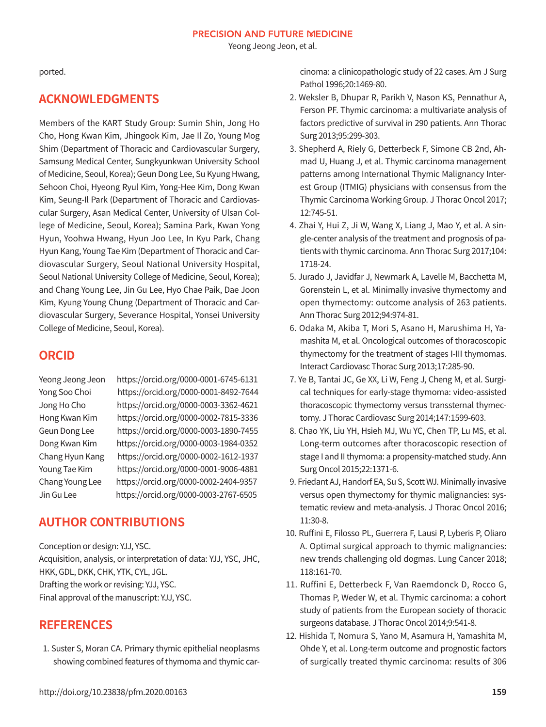Yeong Jeong Jeon, et al.

ported.

# **ACKNOWLEDGMENTS**

Members of the KART Study Group: Sumin Shin, Jong Ho Cho, Hong Kwan Kim, Jhingook Kim, Jae Il Zo, Young Mog Shim (Department of Thoracic and Cardiovascular Surgery, Samsung Medical Center, Sungkyunkwan University School of Medicine, Seoul, Korea); Geun Dong Lee, Su Kyung Hwang, Sehoon Choi, Hyeong Ryul Kim, Yong-Hee Kim, Dong Kwan Kim, Seung-Il Park (Department of Thoracic and Cardiovascular Surgery, Asan Medical Center, University of Ulsan College of Medicine, Seoul, Korea); Samina Park, Kwan Yong Hyun, Yoohwa Hwang, Hyun Joo Lee, In Kyu Park, Chang Hyun Kang, Young Tae Kim (Department of Thoracic and Cardiovascular Surgery, Seoul National University Hospital, Seoul National University College of Medicine, Seoul, Korea); and Chang Young Lee, Jin Gu Lee, Hyo Chae Paik, Dae Joon Kim, Kyung Young Chung (Department of Thoracic and Cardiovascular Surgery, Severance Hospital, Yonsei University College of Medicine, Seoul, Korea).

# **ORCID**

Yeong Jeong Jeon https://orcid.org/0000-0001-6745-6131 Yong Soo Choi https://orcid.org/0000-0001-8492-7644 Jong Ho Cho https://orcid.org/0000-0003-3362-4621 Hong Kwan Kim https://orcid.org/0000-0002-7815-3336 Geun Dong Lee https://orcid.org/0000-0003-1890-7455 Dong Kwan Kim https://orcid.org/0000-0003-1984-0352 Chang Hyun Kang https://orcid.org/0000-0002-1612-1937 Young Tae Kim https://orcid.org/0000-0001-9006-4881 Chang Young Lee https://orcid.org/0000-0002-2404-9357 Jin Gu Lee https://orcid.org/0000-0003-2767-6505

# **AUTHOR CONTRIBUTIONS**

Conception or design: YJJ, YSC.

Acquisition, analysis, or interpretation of data: YJJ, YSC, JHC, HKK, GDL, DKK, CHK, YTK, CYL, JGL. Drafting the work or revising: YJJ, YSC. Final approval of the manuscript: YJJ, YSC.

# **REFERENCES**

1. Suster S, Moran CA. Primary thymic epithelial neoplasms showing combined features of thymoma and thymic carcinoma: a clinicopathologic study of 22 cases. Am J Surg Pathol 1996;20:1469-80.

- 2. Weksler B, Dhupar R, Parikh V, Nason KS, Pennathur A, Ferson PF. Thymic carcinoma: a multivariate analysis of factors predictive of survival in 290 patients. Ann Thorac Surg 2013;95:299-303.
- 3. Shepherd A, Riely G, Detterbeck F, Simone CB 2nd, Ahmad U, Huang J, et al. Thymic carcinoma management patterns among International Thymic Malignancy Interest Group (ITMIG) physicians with consensus from the Thymic Carcinoma Working Group. J Thorac Oncol 2017; 12:745-51.
- 4. Zhai Y, Hui Z, Ji W, Wang X, Liang J, Mao Y, et al. A single-center analysis of the treatment and prognosis of patients with thymic carcinoma. Ann Thorac Surg 2017;104: 1718-24.
- 5. Jurado J, Javidfar J, Newmark A, Lavelle M, Bacchetta M, Gorenstein L, et al. Minimally invasive thymectomy and open thymectomy: outcome analysis of 263 patients. Ann Thorac Surg 2012;94:974-81.
- 6. Odaka M, Akiba T, Mori S, Asano H, Marushima H, Yamashita M, et al. Oncological outcomes of thoracoscopic thymectomy for the treatment of stages I-III thymomas. Interact Cardiovasc Thorac Surg 2013;17:285-90.
- 7. Ye B, Tantai JC, Ge XX, Li W, Feng J, Cheng M, et al. Surgical techniques for early-stage thymoma: video-assisted thoracoscopic thymectomy versus transsternal thymectomy. J Thorac Cardiovasc Surg 2014;147:1599-603.
- 8. Chao YK, Liu YH, Hsieh MJ, Wu YC, Chen TP, Lu MS, et al. Long-term outcomes after thoracoscopic resection of stage I and II thymoma: a propensity-matched study. Ann Surg Oncol 2015;22:1371-6.
- 9. Friedant AJ, Handorf EA, Su S, Scott WJ. Minimally invasive versus open thymectomy for thymic malignancies: systematic review and meta-analysis. J Thorac Oncol 2016; 11:30-8.
- 10. Ruffini E, Filosso PL, Guerrera F, Lausi P, Lyberis P, Oliaro A. Optimal surgical approach to thymic malignancies: new trends challenging old dogmas. Lung Cancer 2018; 118:161-70.
- 11. Ruffini E, Detterbeck F, Van Raemdonck D, Rocco G, Thomas P, Weder W, et al. Thymic carcinoma: a cohort study of patients from the European society of thoracic surgeons database. J Thorac Oncol 2014;9:541-8.
- 12. Hishida T, Nomura S, Yano M, Asamura H, Yamashita M, Ohde Y, et al. Long-term outcome and prognostic factors of surgically treated thymic carcinoma: results of 306